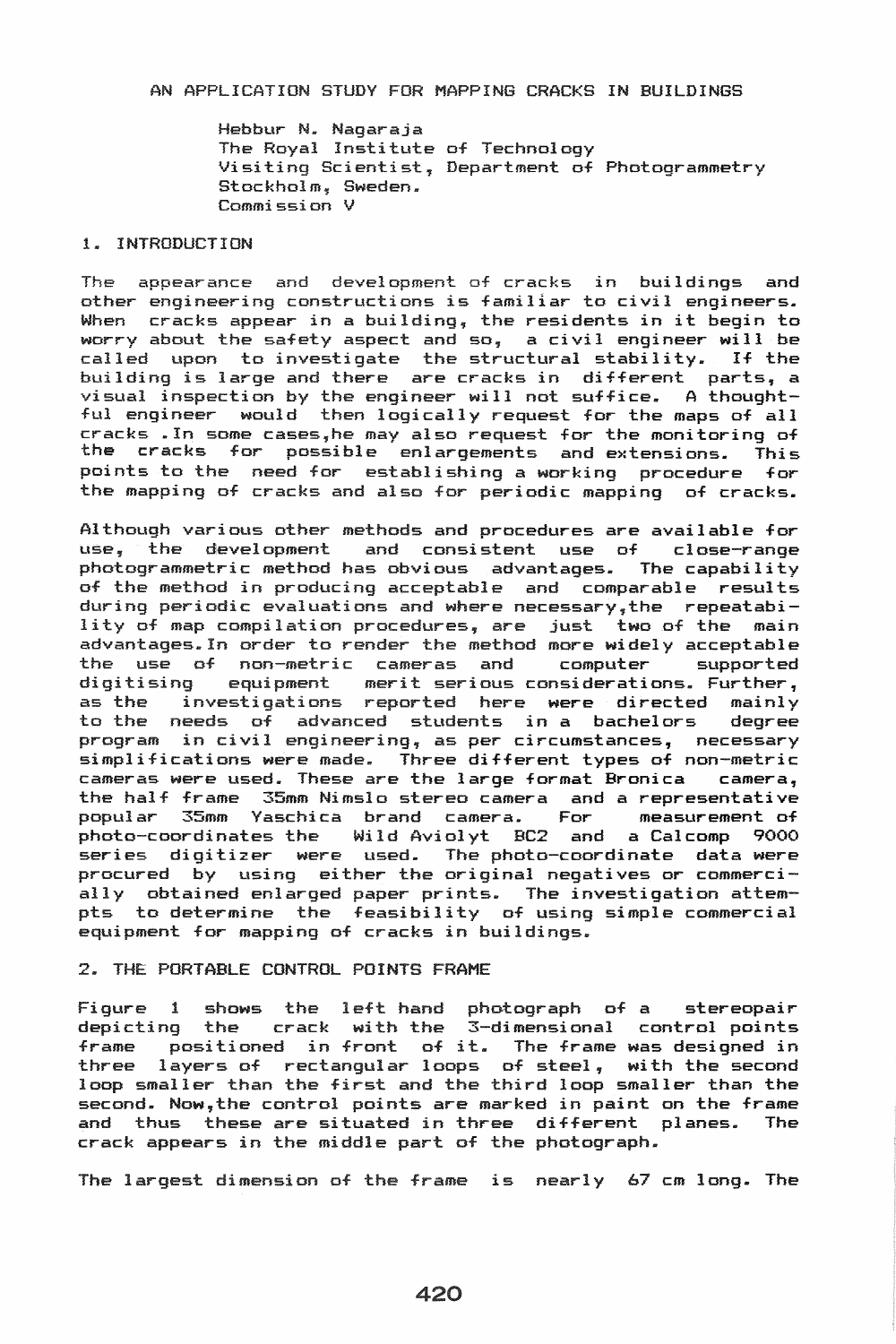### AN APPLICATION STUDY FOR MAPPING CRACKS IN BUILDINGS

Hebbur N. Nagaraja The Royal Institute of Technology Visiting Scientist, Department of Photogrammetry Stockholm, Sweden. Commission V

### 1. INTRODUCTION

The appearance and development of cracks in buildings and other engineering constructions is familiar to civil engineers. When cracks appear in a building, the residents in it begin to worry about the safety aspect and so, a civil engineer will be nowly doesn't one savety depend and so, a critical district with be building is large and there are cracks in different parts, a visual inspection by the engineer will not suffice. A thoughtful engineer would then logically request for the maps of all cracks .In some cases,he may also request for the monitoring of the cracks for possible enlargements and extensions. This points to the need for establishing a working procedure for the mapping of cracks and also for periodic mapping of cracks.

Although various other methods and procedures are available for use, the development and consistent use of close-range photogrammetric method has obvious advantages. The capability of the method in producing acceptable and comparable results during periodic evaluations and where necessary,the repeatability of map compilation procedures, are just two of the main advantages.In order to render the method more widely acceptable the use of non-metric cameras and computer<br>digitising equipment merit-serious-consideration equipment merit serious considerations. Further, as the investigations reported here were directed mainly to the needs of students in a bachelors degree program in civil engineering, as per circumstances, necessary simplifications were made. Three different types of non-metric cameras were used. These are the large format Bronica camera, the half frame 35mm Nimslo stereo camera and a representative<br>popular 35mm Yaschica brand camera. For measurement of popular 35mm Yaschica brand camera. For photo-coordinates the Wild Aviolyt BC2 and a Calcomp 9000 series digitizer were used. The photo-coordinate data were procured by using either the original negatives or commercially obtained enlarged paper prints. The investigation attempts to determine the feasibility of using simple commercial equipment for mapping of cracks in buildings.

# 2. THE PORTABLE CONTROL POINTS FRAME

Figure 1 shows the left hand photograph of a stereopair depicting the crack with the 3-dimensional control points depicting the crack with the s-dimensional control points<br>frame positioned in front of it. The frame was designed in three layers of rectangular loops of steel, with the second loop smaller than the first and the third loop smaller than the second. Now,the control points *are* marked in paint on the frame and thus these *are* situated in three different planes. The crack appears in the middle part of the photograph.

The largest dimension of the frame is nearly 67 cm long. The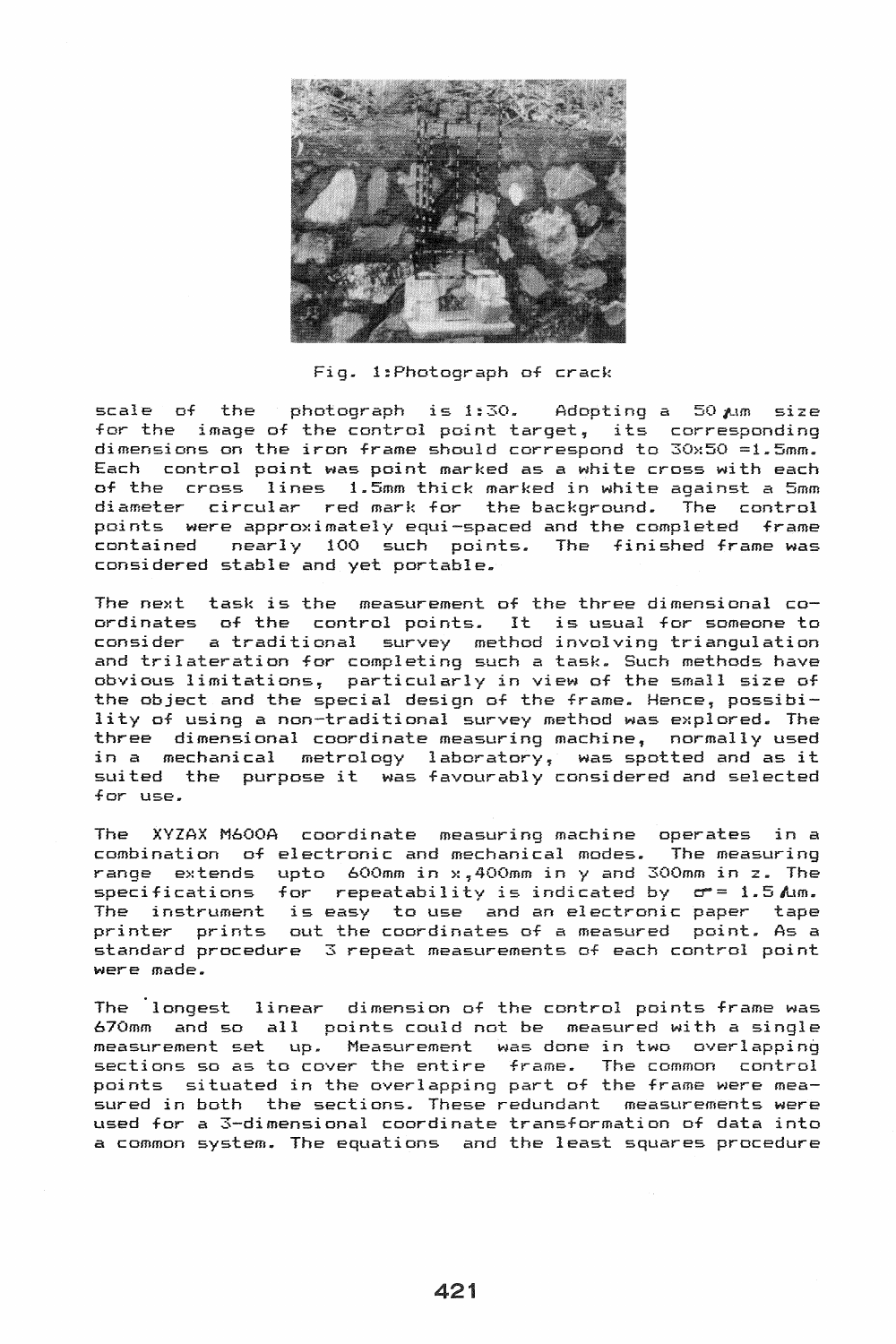

Fig. l:Photograph of crack

scale of the photograph is 1:30. Adopting a 50  $\mu$ m size for the image of the control point target, its corresponding dimensions on the iron frame should correspond to 30x50 =1.5mm. Each control point was point marked as a white cross with each of the cross lines 1.5mm thick marked in white against a 5mm diameter circular red mark for the background. points were approximately equi-spaced and the completed frame contained nearly 100 such points. The finished frame was considered stable and yet portable.

The next task is the measurement of the three dimensional coordinates of the control points. It is usual for someone to consider a traditional survey method involving triangulation and trilateration for completing such a task. Such methods have obvious limitations, particularly in view of the small size of the object and the special design of the frame. Hence, possibility of using a non-traditional survey method was explored. The three dimensional coordinate measuring machine, normally used in a mechanical metrology laboratory, was spotted and as it suited the purpose it was favourably considered and selected for use.

The XYZAX M600A coordinate measuring machine operates in a combination of electronic and mechanical modes. The measuring range extends upto 600mm in x,400mm in y and 300mm in z. The specifications for repeatability is indicated by  $\sigma$  = 1.5 Am. The instrument is easy to use and an electronic paper tape printer prints out the coordinates of a measured point. As a standard procedure 3 repeat measurements of each control point were made.

The longest linear dimension of the control points frame was 670mm and so all points could not be measured with a single measurement set up. Measurement was done in two overlapping sections so as to cover the entire frame. The common control points situated in the overlapping part of the frame were measured in both the sections. These redundant measurements were used for a 3-dimensional coordinate transformation of data into a common system. The equations and the least squares procedure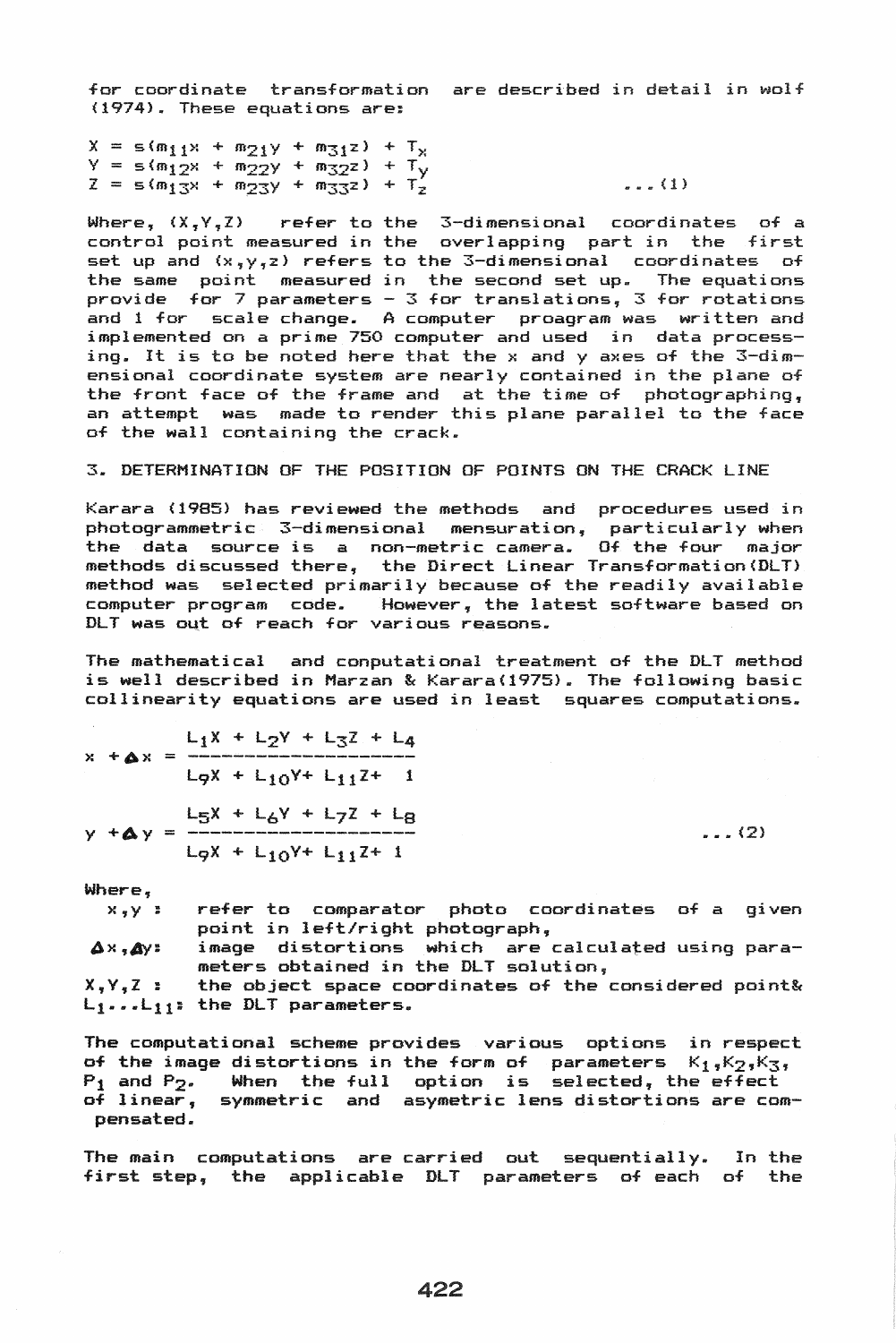for coordinate transformation are described in detail in wolf (1974). These equations are:

 $X = s(m_1 + m_2) + m_3 = 1 + T_x$  $Y = s(m_1 2x + m_2 2y + m_3 2z) +$  $Z = s (m_{13} + m_{23} + m_{33} + m_{33} + m_{33} + m_{33} + m_{33} + m_{33} + m_{33} + m_{33} + m_{33} + m_{33} + m_{33} + m_{33} + m_{33} + m_{33} + m_{33} + m_{33} + m_{33} + m_{33} + m_{33} + m_{33} + m_{33} + m_{33} + m_{33} + m_{33} + m_{33} + m_{33} + m_{33} + m_{33} + m_{33} + m_{33} + m_{33} + m_{33} + m_{33} + m_{33} +$ 

Where,  $(X, Y, Z)$  refer to the 3-dimensional coordinates of a where, variate are to the continuum control control point measured in the overlapping part in the first set up and (x,y,z) refers to the 3-dimensional coordinates of the same point measured in the second set up. The equations provide for 7 parameters - 3 for translations, 3 for rotations and 1 for scale change. A computer proagram was written and implemented on a prime 750 computer and used in data processing. It is to be noted here that the x and y axes of the 3-dimensional coordinate system are nearly contained in the plane of the front face of the frame and at the time of photographing, an attempt was made to render this plane parallel to the face of the wall containing the crack.

#### 3. DETERMINATION OF THE POSITION OF POINTS ON THE CRACK LINE

Karara (1985) has reviewed the methods and procedures used in photogrammetric 3-dimensional mensuration, particularly when the data source is a non-metric camera. Of the four major end data searce is a non-metric camerar on the road magazine method was selected primarily because of the readily available computer program code. However, the latest software based on DLT was 04t of reach for various reasons.

The mathematical and conputational treatment of the DLT method is well described in Marzan & Karara(1975). The following basic collinearity equations are used in least squares computations.

 $x + \Delta x = \frac{L_1 X + L_2 Y + L_3 Z + L_4}{2}$  $y + Ay = \frac{L_5X + L_6Y + L_7Z + L_8}{... (2)}$  $L_9X + L_{10}Y + L_{11}Z + 1$  $L_9X + L_{10}Y + L_{11}Z + 1$ 

Where,

c.e,<br>x,y : refer to comparator photo coordinates of a given point in left/right photograph,

image distortions which are calculated using para- $\Delta \times$ ,  $\Delta y$ : meters obtained in the DLT solution,

 $X,Y,Z$ : L<sub>l</sub>...L<sub>ll</sub>: the DLT parameters. the object space coordinates of the considered point&

The computational scheme provides various options in respect of the image distortions in the form of parameters  $K_1$ , $K_2$ , $K_3$ ,  $P_1$  and  $P_2$ . When the full option is selected, the effect of linear, symmetric and asymetric lens distortions are compensated.

The main computations are carried out sequentially. In the first step, the applicable DLT parameters of each of the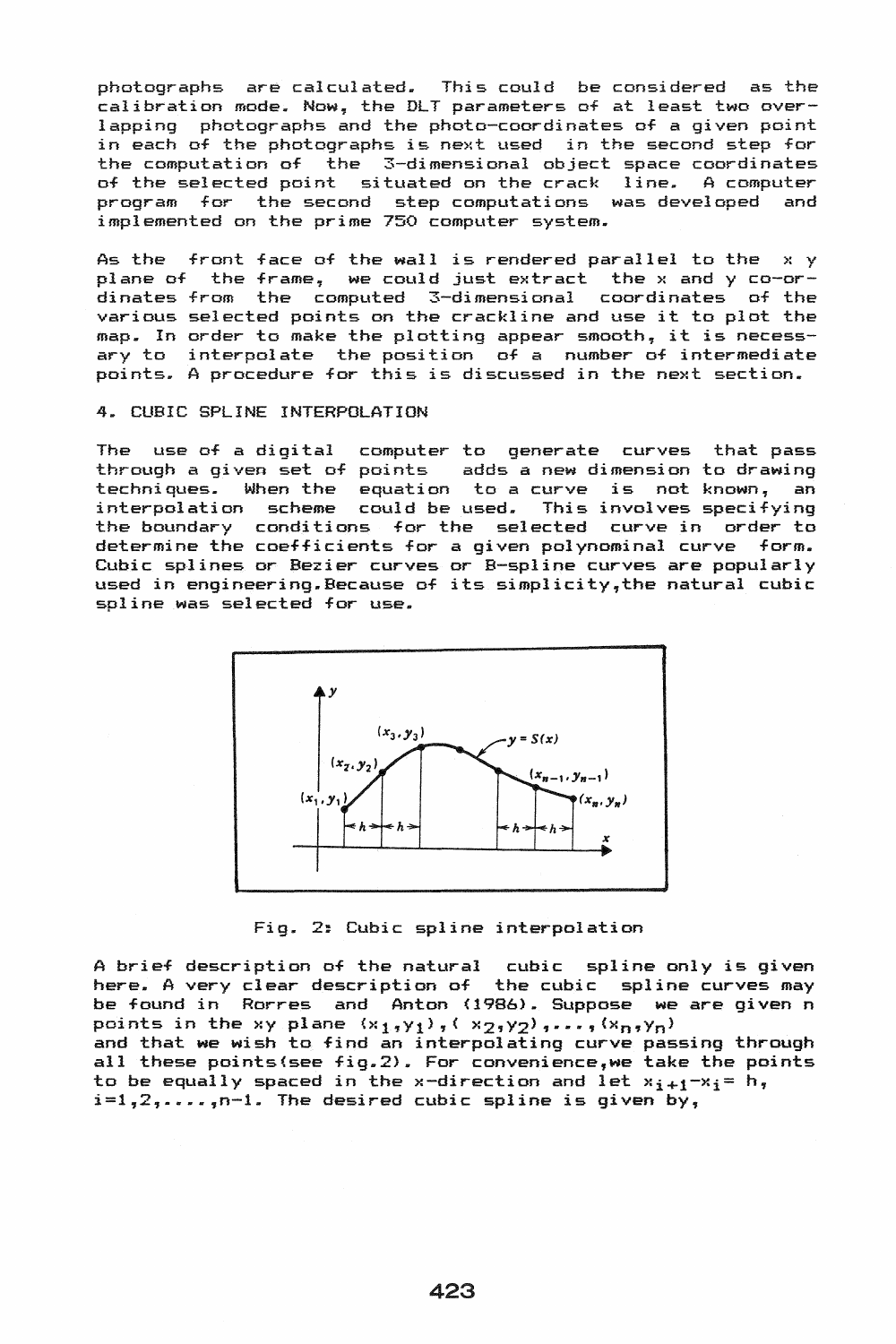photographs are calculated. This could be considered as the calibration mode. Now, the DLT parameters of at least two overlapping photographs and the photo-coordinates of a given point in each of the photographs is next used in the second step for the computation of the 3-dimensional object space coordinates<br>of the selected point situated on the crack line. A computer of the selected point situated on the crack line. program for the second step computations was developed and implemented on the prime 750 computer system.

As the front face of the wall is rendered parallel to the x y plane of the frame, we could just extract the x and y co-ordinates from the computed 3-dimensional coordinates of the various selected points on the crackline and use it to plot the map. In order to make the plotting appear smooth, it is necessary to interpolate the position of a number of intermediate points. A procedure for this is discussed in the next section.

# 4. CUBIC SPLINE INTERPOLATION

The use of a digital computer to generate curves that pass through a given set of points adds a new dimension to drawing techniques. When the equation to a curve is not known, an interpolation scheme could be used. This involves specifying the boundary conditions for the selected curve in order to determine the coefficients for a given polynominal curve form. Cubic splines or Bezier curves or B-spline curves are popularly used in engineering. Because of its simplicity,the natural cubic spline was selected for use.



Fig. 2: Cubic spline interpolation

A brief description of the natural cubic spline only is given here. A very clear description of the cubic spline curves may be found in Rorres and Anton (1986). Suppose we are given n points in the xy plane  $(x_1,y_1)$ , ( $x_2,y_2)$ , ...,  $(x_n,y_n)$ ) and that we wish to find an interpolating curve passing through all these points(see fig.2). For convenience,we take the points to be equally spaced in the x-direction and let  $x_{i+1}-x_i=h$ ,  $i=1,2,\ldots$ ,n-1. The desired cubic spline is given by,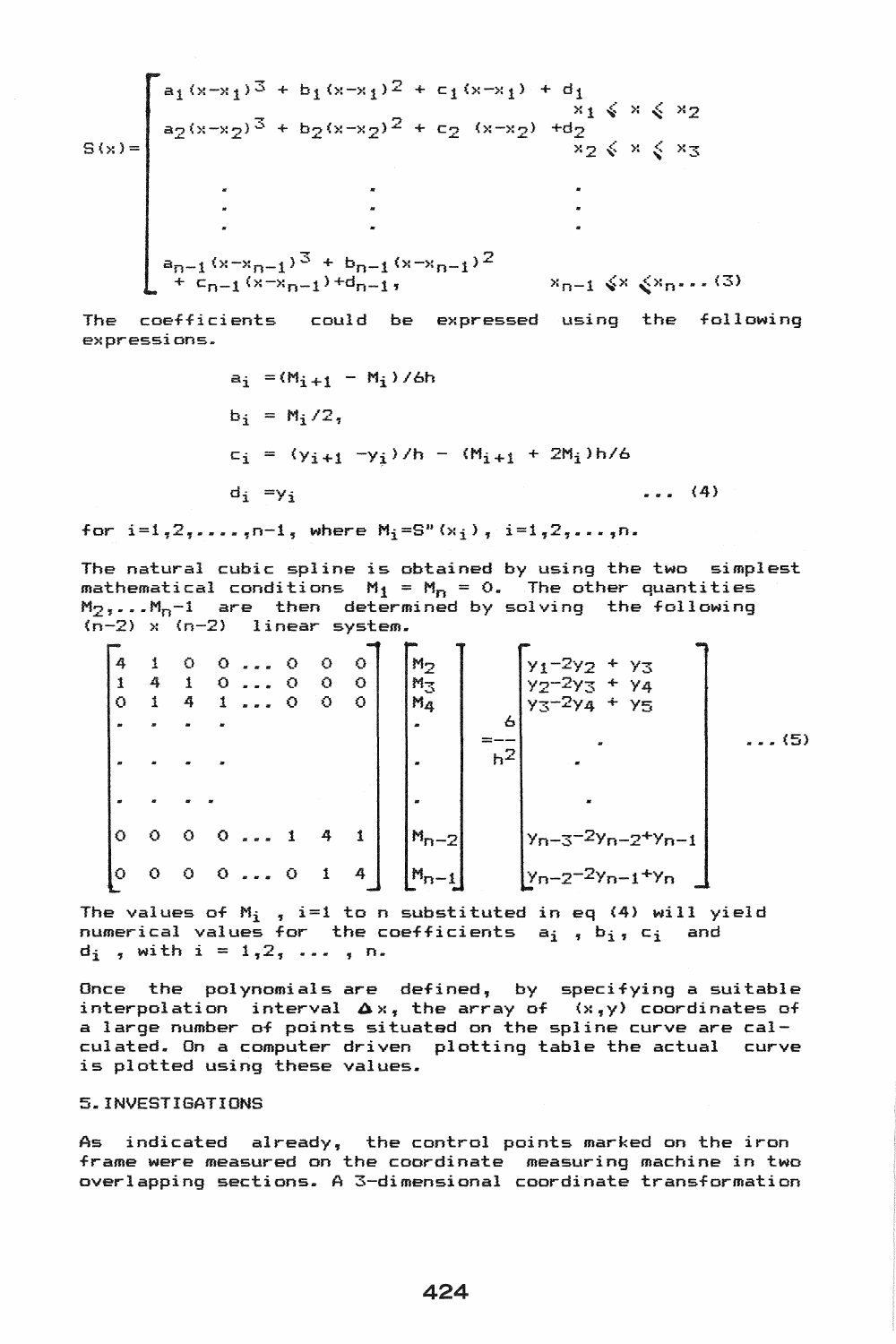$$
S(x) = \begin{bmatrix}\na_1(x-x_1)^3 + b_1(x-x_1)^2 + c_1(x-x_1) + d_1 \\
a_2(x-x_2)^3 + b_2(x-x_2)^2 + c_2(x-x_2) + d_2 \\
x_2(x-x_2)^3 + x_2(x-x_2)^2 + d_2 \\
x_2(x-x_2)^3 + x_2(x-x_2)^3 + d_2 \\
\vdots \\
a_{n-1}(x-x_{n-1})^3 + b_{n-1}(x-x_{n-1})^2 \\
+ c_{n-1}(x-x_{n-1}) + d_{n-1}, & x_{n-1}(x-x_{n-1})\n\end{bmatrix}
$$

The coefficients could be expressed using the following e>:pressi ons ..

$$
a_{i} = (M_{i+1} - M_{i})/6h
$$
  
\n
$$
b_{i} = M_{i}/2,
$$
  
\n
$$
c_{i} = (y_{i+1} - y_{i})/h - (M_{i+1} + 2M_{i})h/6
$$
  
\n
$$
d_{i} = y_{i}
$$
 (4)

for  $i=1, 2, \ldots, n-1$ , where  $M_i = S^n(x_i)$ ,  $i=1, 2, \ldots, n$ .

The natural cubic spline is obtained by using the two simplest mathematical conditions  $M_1 = M_n = 0$ . The other quantities  $M_2, \ldots, M_n-1$  are then determined by solving the following  $(n-2)$  x  $(n-2)$  linear system.

4 1 1 4 o <sup>1</sup> o 0 1 0 4 1 000 0 000 0 o () 0 000 000 141 014 6 **=--** Y1-2 Y2 + Y3 Y2-2 Y3 + Y4 Y3-2 Y4 + Y5 ...... (5)

The values of  $M_i$  , i=1 to n substituted in eq (4) will yield  $m$  ratters of  $m$  ; the coefficients  $a_i$  ,  $b_i$ ,  $c_i$  and  $d_i$ , with  $i = 1, 2, \ldots, n$ .

Once the polynomials are defined, by specifying a suitable interpolation interval  $\Delta x$ , the array of  $(x, y)$  coordinates of a large number of points situated on the spline curve are calculated. On a computer driven plotting table the actual curve is plotted using these values.

# 5. INVESTIGATIONS

As indicated already, the control points marked on the iron frame were measured on the coordinate measuring machine in two overlapping sections. A 3-dimensional coordinate transformation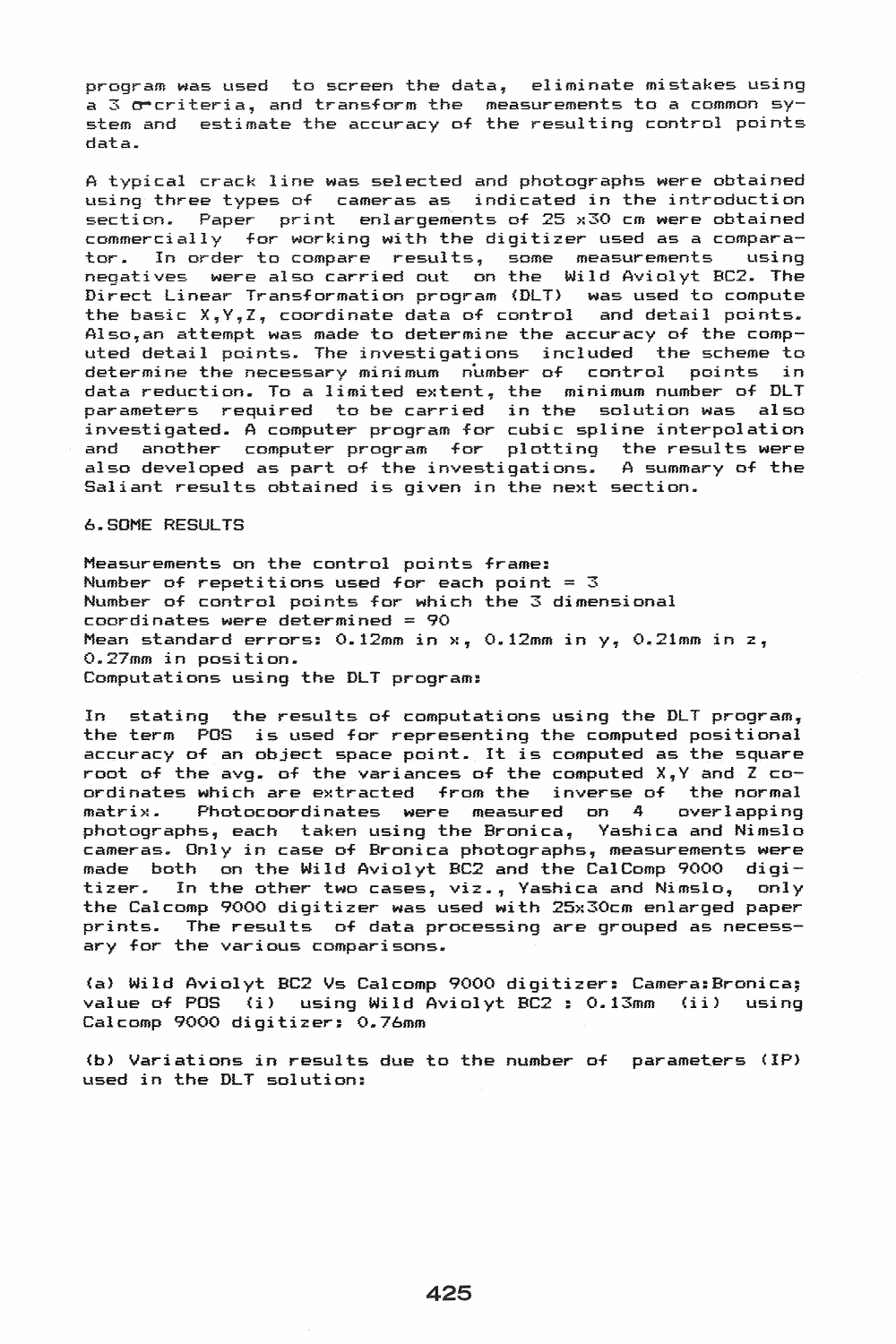program was used to screen the data, eliminate mistakes using a 3 orcriteria, and transform the measurements to a common system and estimate the accuracy of the resulting control points data.

A typical crack line was selected and photographs were obtained using three types of cameras as indicated in the introduction section. Paper print enlargements of 25 x30 cm were obtained commercially for working with the digitizer used as a comparator. In order to compare results, some measurements using negatives were also carried out on the Wild Aviolyt BC2. The Direct Linear Transformation program (DLT) was used to compute the basic X,Y,Z, coordinate data of control and detail points. Also,an attempt was made to determine the accuracy of the computed detail points. The investigations included the scheme to determine the necessary minimum number of control points in data reduction. To a limited extent, the minimum number of DLT parameters required to be carried in the solution was also investigated. A computer program for cubic spline interpolation and another computer program for plotting the results were also developed as part of the investigations.. A summary of the Saliant results obtained is given in the next section.

6 .. S0ME RESULTS

Measurements on the control points frame: Number of repetitions used for each point =  $3$ Number of control points for which the 3 dimensional coordinates were determined = 90 Mean standard errors:  $0.12$ mm in  $x_7$   $0.12$ mm in  $y_7$   $0.21$ mm in  $z_7$ 0.27mm in position. Computations using the DLT program:

In stating the results of computations using the DLT program, the term POS is used for representing the computed positional accuracy of an object space point. It is computed as the square root of the avg. of the variances of the computed  $X, Y$  and  $Z$  coordinates which are extracted from the inverse of the normal matrix. Photocoordinates were measured on 4 overlapping photographs, each taken using the Bronica, Yashica and Nimslo cameras. Only in case of Bronica photographs, measurements were made both on the Wild Aviolyt BC2 and the CalComp 9000 digi-<br>tizer. In the other two cases, viz., Yashica and Nimslo, only In the other two cases, viz., Yashica and Nimslo, the Calcomp 9000 digitizer was used with 25x30cm enlarged paper prints. The results of data processing are grouped as necessary for the various comparisons.

(a) Wild Aviolyt BC2 Vs Calcomp 9000 digitizer: Camera: Bronica; value of POS (i) using Wild Aviolyt BC2 : 0.13mm (ii) using Calcomp 9000 digitizer: 0.76mm

(b) Variations in results due to the number of parameters (IP) used in the DLT solution: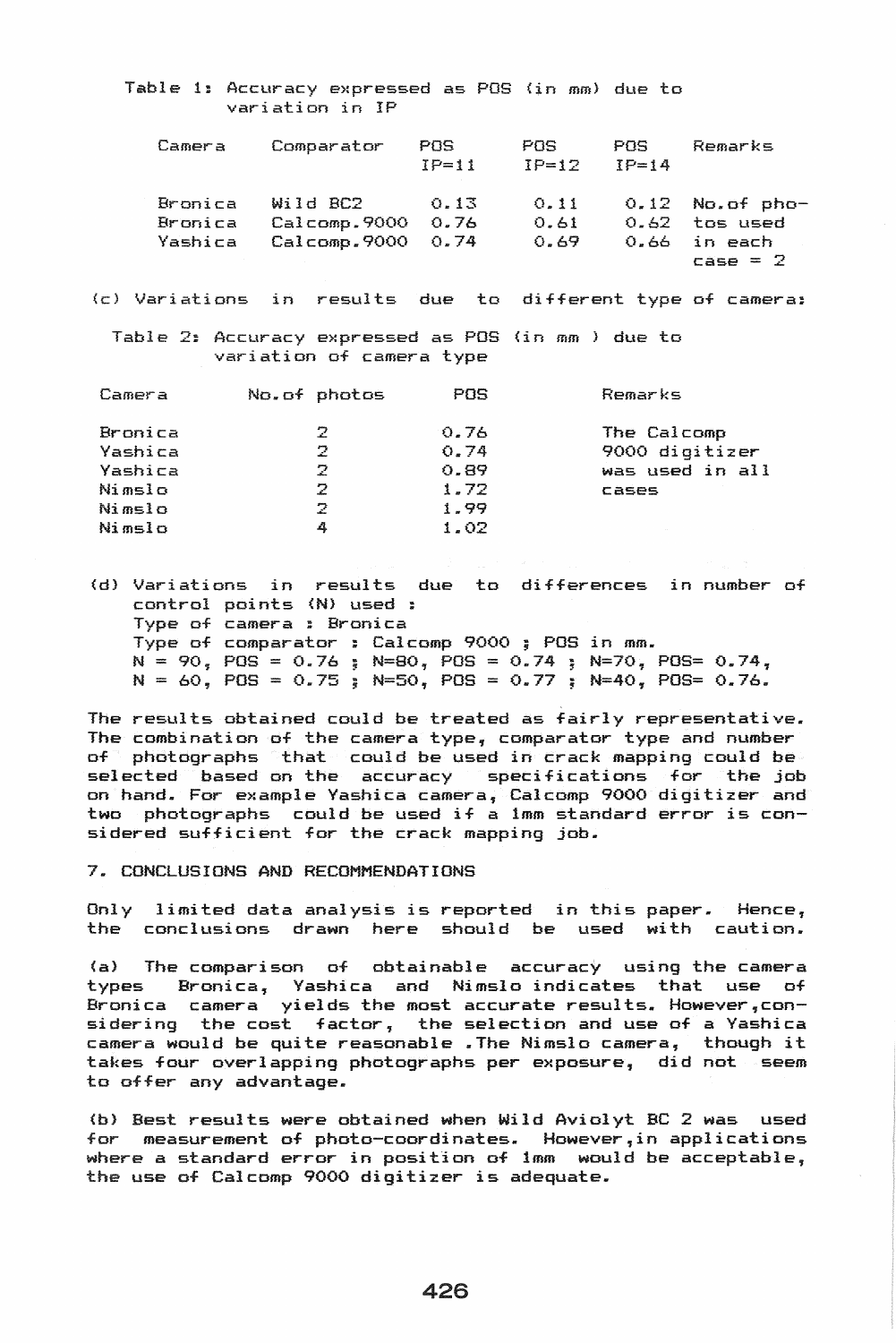### Table 1: Accuracy expressed as POS (in mm) due to variation in IP

| Camera  | Comparator   | POS<br>$IP=11$ | POS<br>$TP=12$ | POS<br>$TP=14$ | Remarks           |
|---------|--------------|----------------|----------------|----------------|-------------------|
| Bronica | Wild BC2     | 0.13           | 0.11           |                | $0.12$ No.of pho- |
| Bronica | Calcomp.9000 | 0.76           | 0.61           | 0.62           | tos used          |
| Yashica | Calcomp.9000 | 0.74           | 0.69           | 0.66           | in each           |
|         |              |                |                |                | $case = 2$        |

(c) Variations in results due to different type of camera:

Table 2: Accuracy expressed as POS (in mm ) due to variation of camera type

| Camera  | No.of photos | POS  | Remarks         |
|---------|--------------|------|-----------------|
| Bronica | 2.           | 0.76 | The Calcomp     |
| Yashica | 2.           | 0.74 | 9000 digitizer  |
| Yashica | 2.           | 0.89 | was used in all |
| Nimslo  | 2            | 1.72 | <b>Cases</b>    |
| Nimslo  | 2.           | 1.99 |                 |
| Nimslo  | 4            | 1.02 |                 |

(d) Variations in results due to differences in number of control points (N) used : Type of camera : Bronica<br>Type of comparator : Calcomp 9000 ; POS in mm.  $N = 90$ ,  $POS = 0.76$ ;  $N = 80$ ,  $POS = 0.74$ ;  $N = 70$ ,  $POS = 0.74$ ,  $N = 60$ , POS = 0.75 ; N=50, POS = 0.77 ; N=40, POS= 0.76.

The results obtained could be treated as fairly representative. The combination of the camera type, comparator type and number of photographs that could be used in crack mapping could be selected based on the accuracy specifications for the job on hand. For example Yashica camera, Calcomp 9000 digitizer and two photographs could be used if a 1mm standard error is considered sufficient for the crack mapping job.

7. CONCLUSIONS AND RECOMMENDATIONS

Only limited data analysis is reported in this paper. Hence, the conclusions drawn here should be used with caution.

(al The comparison of obtainable accuracy using the camera types Bronica, Yashica and Nimslo indicates that use of Bronica camera yields the most accurate results. However,considering the cost factor, the selection and use of a Yashica camera would be quite reasonable .The Nimslo camera, though it takes four overlapping photographs per exposure, did not seem to offer any advantage.

(b) Best results were obtained when Wild Aviolyt BC 2 was used for measurement of photo-coordinates. However,in applications where a standard error in position of 1mm would be acceptable, the use of Calcomp 9000 digitizer is adequate.